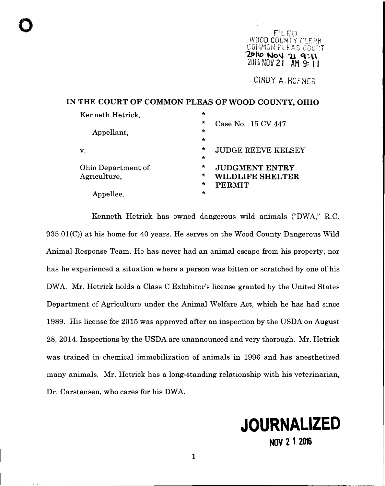$\bullet$  FILED WOOD COUNTY CL COMMOÑ **'2Dl\O No\l 1.\ q ..** n  $2016$  MOV 21

CINDY A. HOFNER

IN THE COURT OF COMMON PLEAS OF WOOD COUNTY, OHIO

| Kenneth Hetrick.          | $\star$                              |
|---------------------------|--------------------------------------|
|                           | $\star$<br>Case No. 15 CV 447        |
| Appellant,                | $\star$                              |
|                           | $\star$                              |
| $\mathbf{v}$ .            | $\star$<br><b>JUDGE REEVE KELSEY</b> |
|                           | $\star$                              |
| <b>Ohio Department of</b> | $\star$<br><b>JUDGMENT ENTRY</b>     |
| Agriculture,              | $\star$<br><b>WILDLIFE SHELTER</b>   |
|                           | $\star$<br><b>PERMIT</b>             |
| Appellee.                 | $\star$                              |

Kenneth Hetrick has owned dangerous wild animals ("DWA," R.C.  $935.01(C)$  at his home for 40 years. He serves on the Wood County Dangerous Wild Animal Response Team. He has never had an animal escape from his property, nor has he experienced a situation where a person was bitten or scratched by one of his DWA. Mr. Hetrick holds a Class C Exhibitor's license granted by the United States Department of Agriculture under the Animal Welfare Act, which he has had since 1989. His license for 2015 was approved after an inspection by the USDA on August 28,2014. Inspections by the USDA are unannounced and very thorough. Mr. Hetrick was trained in chemical immobilization of animals in 1996 and has anesthetized many animals. Mr. Hetrick has a long-standing relationship with his veterinarian, Dr. Carstensen, who cares for his DWA.

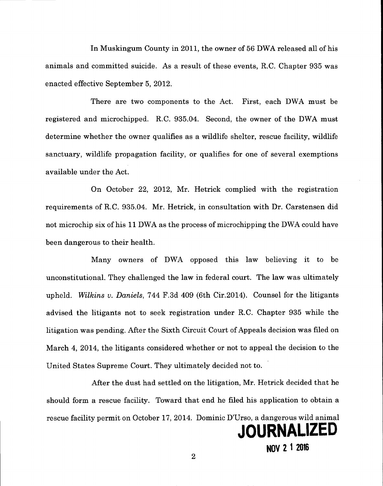In Muskingum County in 2011, the owner of 56 DWA released all of his animals and committed suicide. As a result of these events, RC. Chapter 935 was enacted effective September 5, 2012.

There are two components to the Act. First, each DWA must be registered and microchipped. RC. 935.04. Second, the owner of the DWA must determine whether the owner qualifies as a wildlife shelter, rescue facility, wildlife sanctuary, wildlife propagation facility, or qualifies for one of several exemptions available under the Act.

On October 22, 2012, Mr. Hetrick complied with the registration requirements of RC. 935.04. Mr. Hetrick, in consultation with Dr. Carstensen did not microchip six of his 11 DWA as the process of microchipping the DWA could have been dangerous to their health.

Many owners of DWA opposed this law believing it to be unconstitutional. They challenged the law in federal court. The law was ultimately upheld. *Wilkins v. Daniels,* 744 F.3d 409 (6th Cir.2014). Counsel for the litigants advised the litigants not to seek registration under RC. Chapter 935 while the litigation was pending. Mter the Sixth Circuit Court of Appeals decision was filed on March 4, 2014, the litigants considered whether or not to appeal the decision to the United States Supreme Court. They ultimately decided not to.

After the dust had settled on the litigation, Mr. Hetrick decided that he should form a rescue facility. Toward that end he filed his application to obtain a rescue facility permit on October 17, 2014. Dominic D'Urso, a dangerous wild animal

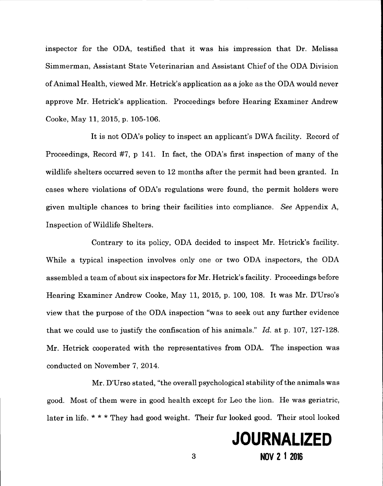inspector for the ODA, testified that it was his impression that Dr. Melissa Simmerman, Assistant State Veterinarian and Assistant Chief of the ODA Division of Animal Health, viewed Mr. Hetrick's application as a joke as the ODA would never approve Mr. Hetrick's application. Proceedings before Hearing Examiner Andrew Cooke, May 11, 2015, p. 105-106.

It is not ODA's policy to inspect an applicant's DWA facility. Record of Proceedings, Record #7, p 141. In fact, the ODA's first inspection of many of the wildlife shelters occurred seven to 12 months after the permit had been granted. In cases where violations of ODA's regulations were found, the permit holders were given multiple chances to bring their facilities into compliance. *See* Appendix A, Inspection of Wildlife Shelters.

Contrary to its policy, ODA decided to inspect Mr. Hetrick's facility. While a typical inspection involves only one or two ODA inspectors, the ODA assembled a team of about six inspectors for Mr. Hetrick's facility. Proceedings before Hearing Examiner Andrew Cooke, May 11, 2015, p. 100, 108. It was Mr. D'Urso's view that the purpose of the ODA inspection "was to seek out any further evidence that we could use to justify the confiscation of his animals." *Id.* at p. 107, 127-128. Mr. Hetrick cooperated with the representatives from ODA. The inspection was conducted on November 7, 2014.

Mr. D'Urso stated, "the overall psychological stability ofthe animals was good. Most of them were in good health except for Leo the lion. He was geriatric, later in life. \* \* \* They had good weight. Their fur looked good. Their stool looked

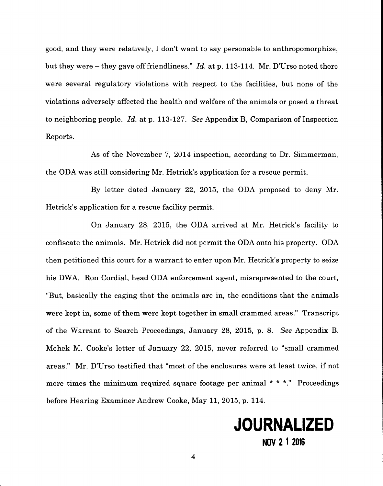good, and they were relatively, I don't want to say personable to anthropomorphize, but they were - they gave off friendliness." *Id.* at p. 113-114. Mr. D'Urso noted there were several regulatory violations with respect to the facilities, but none of the violations adversely affected the health and welfare of the animals or posed a threat to neighboring people. *Id.* at p. 113-127. *See* Appendix B, Comparison of Inspection Reports.

-------------

As of the November 7, 2014 inspection, according to Dr. Simmerman, the ODA was still considering Mr. Hetrick's application for a rescue permit.

By letter dated January 22, 2015, the ODA proposed to deny Mr. Hetrick's application for a rescue facility permit.

On January 28, 2015, the ODA arrived at Mr. Hetrick's facility to confiscate the animals. Mr. Hetrick did not permit the ODA onto his property. ODA then petitioned this court for a warrant to enter upon Mr. Hetrick's property to seize his DWA. Ron Cordial, head ODA enforcement agent, misrepresented to the court, "But, basically the caging that the animals are in, the conditions that the animals were kept in, some of them were kept together in small crammed areas." Transcript of the Warrant to Search Proceedings, January 28, 2015, p. 8. *See* Appendix B. Mehek M. Cooke's letter of January 22, 2015, never referred to "small crammed areas." Mr. D'Urso testified that "most of the enclosures were at least twice, if not more times the minimum required square footage per animal  $* * *$ ." Proceedings before Hearing Examiner Andrew Cooke, May 11, 2015, p. 114.

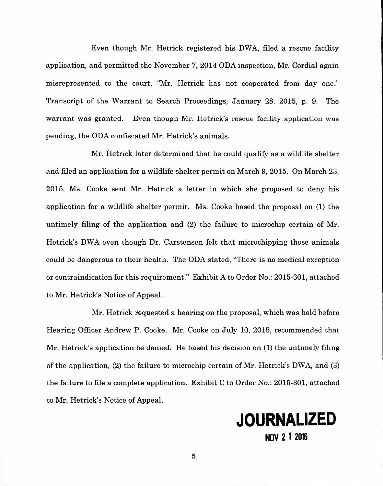Even though Mr. Hetrick registered his DWA, filed a rescue facility application, and permitted the November 7, 2014 ODA inspection, Mr. Cordial again misrepresented to the court, "Mr. Hetrick has not cooperated from day one." Transcript of the Warrant to Search Proceedings, January 28, 2015, p. 9. The warrant was granted. Even though Mr. Hetrick's rescue facility application was pending, the ODA confiscated Mr. Hetrick's animals.

Mr. Hetrick later determined that he could qualify as a wildlife shelter and filed an application for a wildlife shelter permit on March 9, 2015. On March 23, 2015, Ms. Cooke sent Mr. Hetrick a letter in which she proposed to deny his application for a wildlife shelter permit. Ms. Cooke based the proposal on (1) the untimely filing of the application and (2) the failure to microchip certain of Mr. Hetrick's DWA even though Dr. Carstensen felt that microchipping those animals could be dangerous to their health. The ODA stated, "There is no medical exception or contraindication for this requirement." Exhibit A to Order No.: 2015-301, attached to Mr. Hetrick's Notice of Appeal.

Mr. Hetrick requested a hearing on the proposal, which was held before Hearing Officer Andrew P. Cooke. Mr. Cooke on July 10, 2015, recommended that Mr. Hetrick's application be denied. He based his decision on (1) the untimely filing of the application, (2) the failure to microchip certain of Mr. Hetrick's DWA, and (3) the failure to file a complete application. Exhibit C to Order No.: 2015-301, attached to Mr. Hetrick's Notice of Appeal.

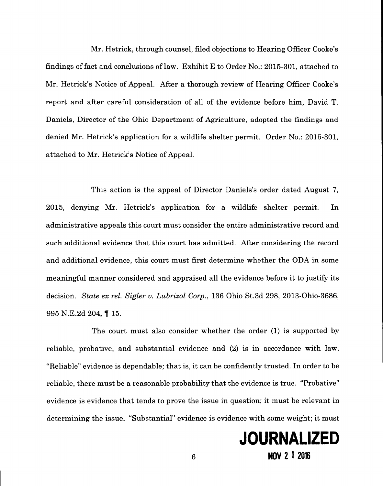Mr. Hetrick, through counsel, filed objections to Hearing Officer Cooke's findings of fact and conclusions of law. Exhibit E to Order No.: 2015-301, attached to Mr. Hetrick's Notice of Appeal. After a thorough review of Hearing Officer Cooke's report and after careful consideration of all of the evidence before him, David T. Daniels, Director of the Ohio Department of Agriculture, adopted the findings and denied Mr. Hetrick's application for a wildlife shelter permit. Order No.: 2015-301, attached to Mr. Hetrick's Notice of Appeal.

This action is the appeal of Director Daniels's order dated August 7, 2015, denying Mr. Hetrick's application for a wildlife shelter permit. In administrative appeals this court must consider the entire administrative record and such additional evidence that this court has admitted. After considering the record and additional evidence, this court must first determine whether the ODA in some meaningful manner considered and appraised all the evidence before it to justify its decision. *State ex rel. Sigler v. Lubrizol Corp.,* 136 Ohio St.3d 298, 2013-0hio-3686, 995 N.E.2d 204, 115.

The court must also consider whether the order (1) is supported by reliable, probative, and substantial evidence and (2) is in accordance with law. "Reliable" evidence is dependable; that is, it can be confidently trusted. In order to be reliable, there must be a reasonable probability that the evidence is true. "Probative" evidence is evidence that tends to prove the issue in question; it must be relevant in determining the issue. "Substantial" evidence is evidence with some weight; it must

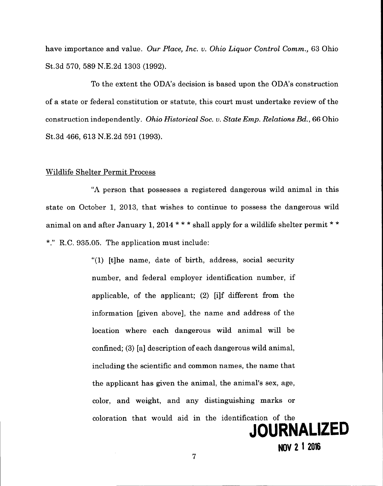have importance and value. *Our Place, Inc. v. Ohio Liquor Control Comm.,* 63 Ohio St. 3d 570, 589 N.E.2d 1303 (1992).

To the extent the ODA's decision is based upon the ODA's construction of a state or federal constitution or statute, this court must undertake review of the construction independently. *Ohio Historical Soc. v. State Emp. Relations Bd.,* 66 Ohio St.3d 466, 613 N.E.2d 591 (1993).

#### Wildlife Shelter Permit Process

"A person that possesses a registered dangerous wild animal in this state on October 1, 2013, that wishes to continue to possess the dangerous wild animal on and after January 1, 2014 \*\*\* shall apply for a wildlife shelter permit \*\*  $*$ ." R.C. 935.05. The application must include:

> "(1) [t]he name, date of birth, address, social security number, and federal employer identification number, if applicable, of the applicant; (2) [i]f different from the information [given above], the name and address of the location where each dangerous wild animal will be confined; (3) [a] description of each dangerous wild animal, including the scientific and common names, the name that the applicant has given the animal, the animal's sex, age, color, and weight, and any distinguishing marks or coloration that would aid in the identification of the

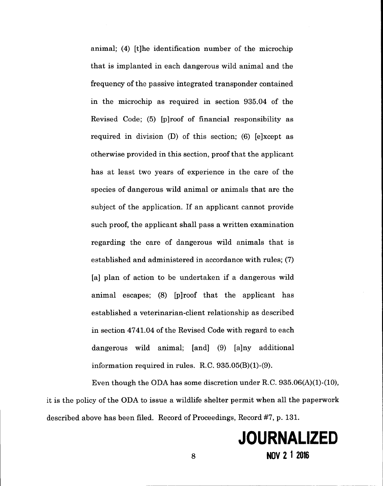animal; (4) [t]he identification number of the microchip that is implanted in each dangerous wild animal and the frequency of the passive integrated transponder contained in the microchip as required in section 935.04 of the Revised Code; (5) [p]roof of financial responsibility as required in division (D) of this section; (6) [e]xcept as otherwise provided in this section, proof that the applicant has at least two years of experience in the care of the species of dangerous wild animal or animals that are the subject of the application. If an applicant cannot provide such proof, the applicant shall pass a written examination regarding the care of dangerous wild animals that is established and administered in accordance with rules; (7) [a] plan of action to be undertaken if a dangerous wild animal escapes; (8) [p]roof that the applicant has established a veterinarian-client relationship as described in section 4741.04 of the Revised Code with regard to each dangerous wild animal; [and] (9) [a]ny additional information required in rules. R.C.935.05(B)(1)-(9).

Even though the ODA has some discretion under R.C.  $935.06(A)(1)-(10)$ , it is the policy of the ODA to issue a wildlife shelter permit when all the paperwork described above has been filed. Record of Proceedings, Record #7, p. 131.

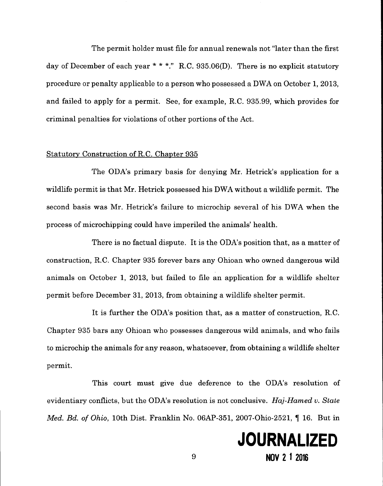The permit holder must file for annual renewals not "later than the first day of December of each year \* \* \*." R.C. 935.06(D). There is no explicit statutory procedure or penalty applicable to a person who possessed a DWA on October 1, 2013, and failed to apply for a permit. See, for example, RC. 935.99, which provides for criminal penalties for violations of other portions of the Act.

### Statutory Construction of R.C. Chapter 935

-------------------------------------

The ODA's primary basis for denying Mr. Hetrick's application for a wildlife permit is that Mr. Hetrick possessed his DWA without a wildlife permit. The second basis was Mr. Hetrick's failure to microchip several of his DWA when the process of microchipping could have imperiled the animals' health.

There is no factual dispute. It is the ODA's position that, as a matter of construction, RC. Chapter 935 forever bars any Ohioan who owned dangerous wild animals on October 1, 2013, but failed to file an application for a wildlife shelter permit before December 31, 2013, from obtaining a wildlife shelter permit.

It is further the ODA's position that, as a matter of construction, RC. Chapter 935 bars any Ohioan who possesses dangerous wild animals, and who fails to microchip the animals for any reason, whatsoever, from obtaining a wildlife shelter permit.

This court must give due deference to the ODA's resolution of evidentiary conflicts, but the ODA's resolution is not conclusive. *Haj-Hamed v. State Med. Bd. of Ohio, 10th Dist. Franklin No. 06AP-351, 2007-Ohio-2521,* 16. But in

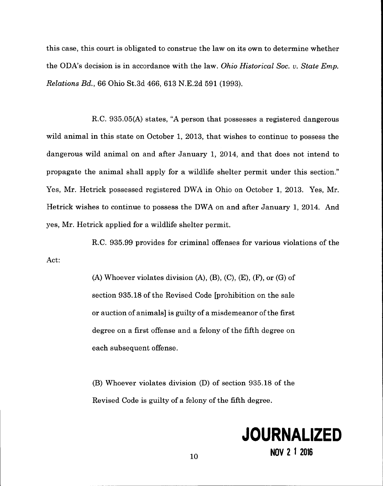this case, this court is obligated to construe the law on its own to determine whether the ODA's decision is in accordance with the law. *Ohio Historical Soc. v. State Emp. Relations Bd.,* 66 Ohio St.3d 466, 613 N.E.2d 591 (1993).

R.C. 935.05(A) states, "A person that possesses a registered dangerous wild animal in this state on October 1, 2013, that wishes to continue to possess the dangerous wild animal on and after January 1, 2014, and that does not intend to propagate the animal shall apply for a wildlife shelter permit under this section." Yes, Mr. Hetrick possessed registered DWA in Ohio on October 1, 2013. Yes, Mr. Hetrick wishes to continue to possess the DWA on and after January 1, 2014. And yes, Mr. Hetrick applied for a wildlife shelter permit.

Act: R.C. 935.99 provides for criminal offenses for various violations of the

> $(A)$  Whoever violates division  $(A)$ ,  $(B)$ ,  $(C)$ ,  $(E)$ ,  $(F)$ , or  $(G)$  of section 935.18 of the Revised Code [prohibition on the sale or auction of animals] is guilty of a misdemeanor of the first degree on a first offense and a felony of the fifth degree on each subsequent offense.

> (B) Whoever violates division (D) of section 935.18 of the Revised Code is guilty of a felony of the fifth degree.

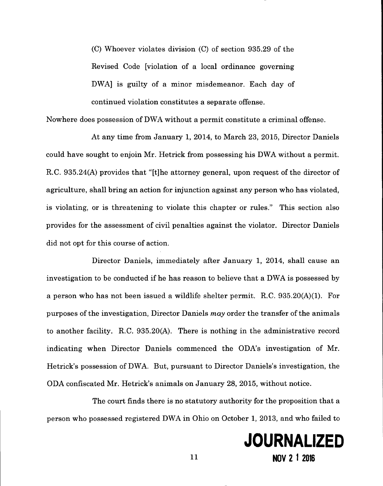(C) Whoever violates division (C) of section 935.29 of the Revised Code [violation of a local ordinance governing DWA] is guilty of a minor misdemeanor. Each day of continued violation constitutes a separate offense.

------------------ -------------------.

Nowhere does possession of DWA without a permit constitute a criminal offense.

At any time from January **1,** 2014, to March 23, 2015, Director Daniels could have sought to enjoin Mr. Hetrick from possessing his DWA without a permit. RC. 935.24(A) provides that "[t]he attorney general, upon request of the director of agriculture, shall bring an action for injunction against any person who has violated, is violating, or is threatening to violate this chapter or rules." This section also provides for the assessment of civil penalties against the violator. Director Daniels did not opt for this course of action.

Director Daniels, immediately after January **1,** 2014, shall cause an investigation to be conducted if he has reason to believe that a DWA is possessed by a person who has not been issued a wildlife shelter permit. RC. 935.20(A)(I). For purposes of the investigation, Director Daniels *may* order the transfer of the animals to another facility. RC. 935.20(A). There is nothing in the administrative record indicating when Director Daniels commenced the ODA's investigation of Mr. Hetrick's possession of DWA. But, pursuant to Director Daniels's investigation, the ODA confiscated Mr. Hetrick's animals on January 28, 2015, without notice.

The court finds there is no statutory authority for the proposition that a person who possessed registered DWA in Ohio on October **1,** 2013, and who failed to

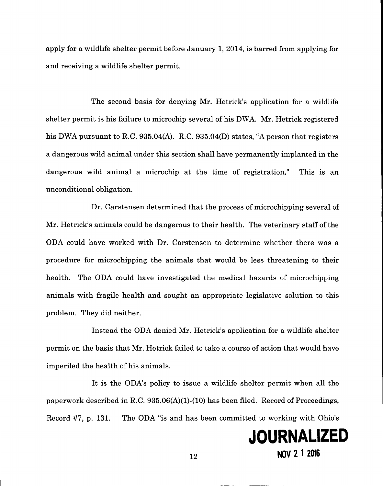apply for a wildlife shelter permit before January 1, 2014, is barred from applying for and receiving a wildlife shelter permit.

The second basis for denying Mr. Hetrick's application for a wildlife shelter permit is his failure to microchip several of his DWA. Mr. Hetrick registered his DWA pursuant to R.C. 935.04(A). R.C. 935.04(D) states, "A person that registers a dangerous wild animal under this section shall have permanently implanted in the dangerous wild animal a microchip at the time of registration." This is an unconditional obligation.

Dr. Carstensen determined that the process of microchipping several of Mr. Hetrick's animals could be dangerous to their health. The veterinary staff of the ODA could have worked with Dr. Carstensen to determine whether there was a procedure for microchipping the animals that would be less threatening to their health. The ODA could have investigated the medical hazards of microchipping animals with fragile health and sought an appropriate legislative solution to this problem. They did neither.

Instead the ODA denied Mr. Hetrick's application for a wildlife shelter permit on the basis that Mr. Hetrick failed to take a course of action that would have imperiled the health of his animals.

It is the ODA's policy to issue a wildlife shelter permit when all the paperwork described in R.C. 935.06(A)(1)-(10) has been filed. Record of Proceedings, Record #7, p. 131. The ODA "is and has been committed to working with Ohio's

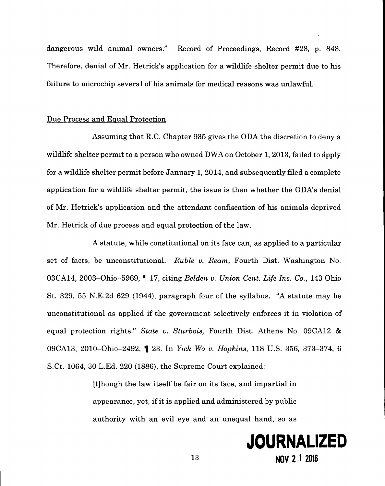dangerous wild animal owners." Record of Proceedings, Record #28, p. 848. Therefore, denial of Mr. Hetrick's application for a wildlife shelter permit due to his failure to microchip several of his animals for medical reasons was unlawful.

### Due Process and Equal Protection

Assuming that RC. Chapter 935 gives the ODA the discretion to deny a wildlife shelter permit to a person who owned DWA on October 1, 2013, failed to apply for a wildlife shelter permit before January 1, 2014, and subsequently filed a complete application for a wildlife shelter permit, the issue is then whether the ODA's denial of Mr. Hetrick's application and the attendant confiscation of his animals deprived Mr. Hetrick of due process and equal protection of the law.

A statute, while constitutional on its face can, as applied to a particular set of facts, be unconstitutional. *Ruble v. Ream,* Fourth Dist. Washington No. 03CA14, 2003-0hio-5969, ~ 17, citing *Belden v. Union Cent. Life Ins. Co.,* 143 Ohio St. 329, 55 N.E.2d 629 (1944), paragraph four of the syllabus. "A statute may be unconstitutional as applied if the government selectively enforces it in violation of equal protection rights." *State v. Sturbois,* Fourth Dist. Athens No. 09CA12 & 09CA13, 20 10-0hio-2492 , ~ 23. In *Yick Wo v. Hopkins,* 118 U.S. 356, 373-374, 6 S.Ct. 1064, 30 L.Ed. 220 (1886), the Supreme Court explained:

> [t]hough the law itself be fair on its face, and impartial in appearance, yet, if it is applied and administered by public authority with an evil eye and an unequal hand, so as

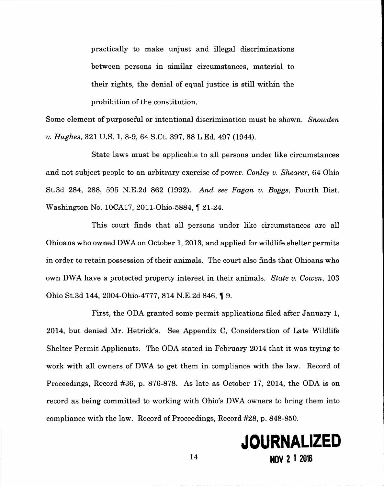practically to make unjust and illegal discriminations between persons in similar circumstances, material to their rights, the denial of equal justice is still within the prohibition of the constitution.

Some element of purposeful or intentional discrimination must be shown. *Snowden v. Hughes,* 321 U.S. 1, 8-9, 64 S.Ct. 397, 88 L.Ed. 497 (1944).

State laws must be applicable to all persons under like circumstances and not subject people to an arbitrary exercise of power. *Conley v. Shearer,* 64 Ohio St.3d 284, 288, 595 N.E.2d 862 (1992). *And see Fagan v. Boggs,* Fourth Dist. Washington No. 10CA17, 2011-Ohio-5884, 1 21-24.

This court finds that all persons under like circumstances are all Ohioans who owned DWA on October 1, 2013, and applied for wildlife shelter permits in order to retain possession of their animals. The court also finds that Ohioans who own DWA have a protected property interest in their animals. *State v. Cowen*, 103 Ohio St. 3d 144, 2004-Ohio-4777, 814 N.E. 2d 846, 19.

First, the ODA granted some permit applications filed after January 1, 2014, but denied Mr. Hetrick's. See Appendix C, Consideration of Late Wildlife Shelter Permit Applicants. The ODA stated in February 2014 that it was trying to work with all owners of DWA to get them in compliance with the law. Record of Proceedings, Record #36, p. 876-878. As late as October 17, 2014, the ODA is on record as being committed to working with Ohio's DWA owners to bring them into compliance with the law. Record of Proceedings, Record #28, p. 848-850.

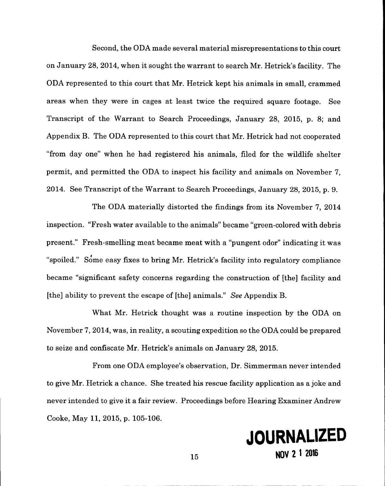Second, the ODA made several material misrepresentations to this court on January 28,2014, when it sought the warrant to search Mr. Hetrick's facility. The ODA represented to this court that Mr. Hetrick kept his animals in small, crammed areas when they were in cages at least twice the required square footage. See Transcript of the Warrant to Search Proceedings, January 28, 2015, p. 8; and Appendix B. The ODA represented to this court that Mr. Hetrick had not cooperated "from day one" when he had registered his animals, filed for the wildlife shelter permit, and permitted the ODA to inspect his facility and animals on November 7, 2014. See Transcript of the Warrant to Search Proceedings, January 28,2015, p. 9.

The ODA materially distorted the findings from its November 7, 2014 inspection. "Fresh water available to the animals" became "green-colored with debris present." Fresh-smelling meat became meat with a "pungent odor" indicating it was "spoiled." Some easy fixes to bring Mr. Hetrick's facility into regulatory compliance became "significant safety concerns regarding the construction of [the] facility and [the] ability to prevent the escape of [the] animals." *See* Appendix B.

What Mr. Hetrick thought was a routine inspection by the ODA on November 7,2014, was, in reality, a scouting expedition so the ODA could be prepared to seize and confiscate Mr. Hetrick's animals on January 28,2015.

From one ODA employee's observation, Dr. Simmerman never intended to give Mr. Hetrick a chance. She treated his rescue facility application as a joke and never intended to give it a fair review. Proceedings before Hearing Examiner Andrew Cooke, May 11, 2015, p. 105-106.

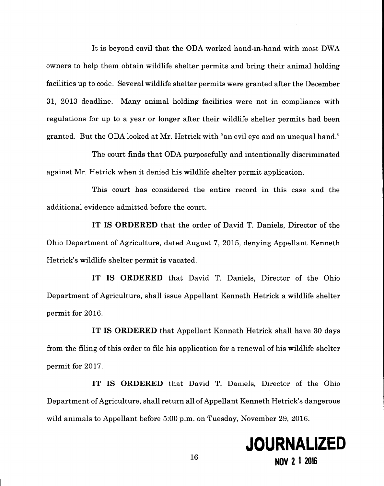It is beyond cavil that the ODA worked hand-in-hand with most DWA owners to help them obtain wildlife shelter permits and bring their animal holding facilities up to code. Several wildlife shelter permits were granted after the December 31, 2013 deadline. Many animal holding facilities were not in compliance with regulations for up to a year or longer after their wildlife shelter permits had been granted. But the ODA looked at Mr. Hetrick with "an evil eye and an unequal hand."

The court finds that ODA purposefully and intentionally discriminated against Mr. Hetrick when it denied his wildlife shelter permit application.

This court has considered the entire record in this case and the additional evidence admitted before the court.

**IT IS ORDERED** that the order of David T. Daniels, Director of the Ohio Department of Agriculture, dated August 7, 2015, denying Appellant Kenneth Hetrick's wildlife shelter permit is vacated.

**IT IS ORDERED** that David T. Daniels, Director of the Ohio Department of Agriculture, shall issue Appellant Kenneth Hetrick a wildlife shelter permit for 2016.

**IT IS ORDERED** that Appellant Kenneth Hetrick shall have 30 days from the filing of this order to file his application for a renewal of his wildlife shelter permit for 2017.

**IT IS ORDERED** that David T. Daniels, Director of the Ohio Department of Agriculture, shall return all of Appellant Kenneth Hetrick's dangerous wild animals to Appellant before 5:00 p.m. on Tuesday, November 29, 2016.

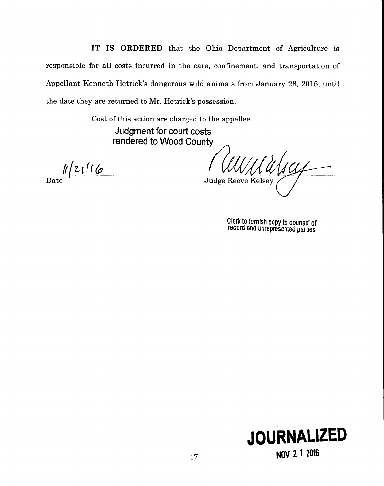IT IS ORDERED that the Ohio Department of Agriculture is responsible for all costs incurred in the care, confinement, and transportation of Appellant Kenneth Hetrick's dangerous wild animals from January 28, 2015, until the date they are returned to Mr. Hetrick's possession.

> Cost of this action are charged to the appellee. Judgment for court costs rendered to Wood County

 $\frac{11}{\text{Date}}$ 

**Judge Reeve Kelsey** 

Clerk to furnIsh copy to counsel of record and unrepresented parties

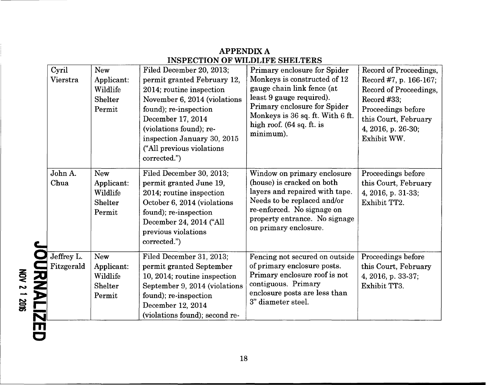| Cyril<br>Vierstra        | New<br>Applicant:<br>Wildlife<br>Shelter<br>Permit               | Filed December 20, 2013;<br>permit granted February 12,<br>2014; routine inspection<br>November 6, 2014 (violations<br>found); re-inspection<br>December 17, 2014<br>(violations found); re-<br>inspection January 30, 2015<br>("All previous violations<br>corrected.") | Primary enclosure for Spider<br>Monkeys is constructed of 12<br>gauge chain link fence (at<br>least 9 gauge required).<br>Primary enclosure for Spider<br>Monkeys is 36 sq. ft. With 6 ft.<br>high roof. (64 sq. ft. is<br>minimum). | Record of Proceedings,<br>Record #7, p. 166-167;<br>Record of Proceedings,<br>Record #33:<br>Proceedings before<br>this Court, February<br>4, 2016, p. 26-30;<br>Exhibit WW. |
|--------------------------|------------------------------------------------------------------|--------------------------------------------------------------------------------------------------------------------------------------------------------------------------------------------------------------------------------------------------------------------------|--------------------------------------------------------------------------------------------------------------------------------------------------------------------------------------------------------------------------------------|------------------------------------------------------------------------------------------------------------------------------------------------------------------------------|
| John A.<br>Chua          | <b>New</b><br>Applicant:<br>Wildlife<br><b>Shelter</b><br>Permit | Filed December 30, 2013;<br>permit granted June 19,<br>2014; routine inspection<br>October 6, 2014 (violations<br>found); re-inspection<br>December 24, 2014 ("All<br>previous violations<br>corrected.")                                                                | Window on primary enclosure<br>(house) is cracked on both<br>layers and repaired with tape.<br>Needs to be replaced and/or<br>re-enforced. No signage on<br>property entrance. No signage<br>on primary enclosure.                   | Proceedings before<br>this Court, February<br>4, 2016, p. 31-33;<br>Exhibit TT2.                                                                                             |
| Jeffrey L.<br>Fitzgerald | <b>New</b><br>Applicant:<br>Wildlife<br>Shelter<br>Permit        | Filed December 31, 2013;<br>permit granted September<br>10, 2014; routine inspection<br>September 9, 2014 (violations<br>found); re-inspection<br>December 12, 2014<br>(violations found); second re-                                                                    | Fencing not secured on outside<br>of primary enclosure posts.<br>Primary enclosure roof is not<br>contiguous. Primary<br>enclosure posts are less than<br>3" diameter steel.                                                         | Proceedings before<br>this Court, February<br>4, 2016, p. 33-37;<br>Exhibit TT3.                                                                                             |

 $\tilde{z}$ 

 $\frac{12}{2}$ 

<u>ಹ</u> ¦

c

# APPENDIX A **INSPECTION OF WILDLIFE SHELTERS**

18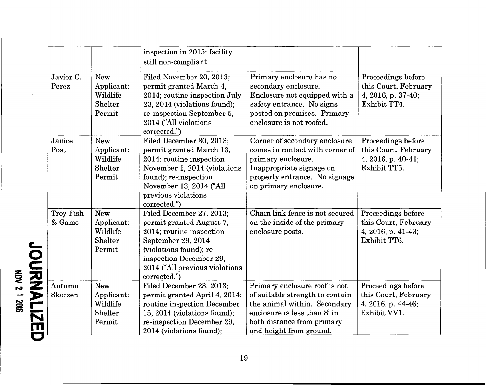|                     |                                                           | inspection in 2015; facility<br>still non-compliant                                                                                                                                                            |                                                                                                                                                                                           |                                                                                  |
|---------------------|-----------------------------------------------------------|----------------------------------------------------------------------------------------------------------------------------------------------------------------------------------------------------------------|-------------------------------------------------------------------------------------------------------------------------------------------------------------------------------------------|----------------------------------------------------------------------------------|
| Javier C.<br>Perez  | <b>New</b><br>Applicant:<br>Wildlife<br>Shelter<br>Permit | Filed November 20, 2013;<br>permit granted March 4,<br>2014; routine inspection July<br>23, 2014 (violations found);<br>re-inspection September 5,<br>2014 ("All violations<br>corrected.")                    | Primary enclosure has no<br>secondary enclosure.<br>Enclosure not equipped with a<br>safety entrance. No signs<br>posted on premises. Primary<br>enclosure is not roofed.                 | Proceedings before<br>this Court, February<br>4, 2016, p. 37-40;<br>Exhibit TT4. |
| Janice<br>Post      | <b>New</b><br>Applicant:<br>Wildlife<br>Shelter<br>Permit | Filed December 30, 2013;<br>permit granted March 13,<br>2014; routine inspection<br>November 1, 2014 (violations<br>found); re-inspection<br>November 13, 2014 ("All<br>previous violations<br>corrected.")    | Corner of secondary enclosure<br>comes in contact with corner of<br>primary enclosure.<br>Inappropriate signage on<br>property entrance. No signage<br>on primary enclosure.              | Proceedings before<br>this Court, February<br>4, 2016, p. 40-41;<br>Exhibit TT5. |
| Troy Fish<br>& Game | <b>New</b><br>Applicant:<br>Wildlife<br>Shelter<br>Permit | Filed December 27, 2013;<br>permit granted August 7,<br>2014; routine inspection<br>September 29, 2014<br>(violations found); re-<br>inspection December 29,<br>2014 ("All previous violations<br>corrected.") | Chain link fence is not secured<br>on the inside of the primary<br>enclosure posts.                                                                                                       | Proceedings before<br>this Court, February<br>4, 2016, p. 41-43;<br>Exhibit TT6. |
| Autumn<br>Skoczen   | <b>New</b><br>Applicant:<br>Wildlife<br>Shelter<br>Permit | Filed December 23, 2013;<br>permit granted April 4, 2014;<br>routine inspection December<br>15, 2014 (violations found);<br>re-inspection December 29,<br>2014 (violations found);                             | Primary enclosure roof is not<br>of suitable strength to contain<br>the animal within. Secondary<br>enclosure is less than 8' in<br>both distance from primary<br>and height from ground. | Proceedings before<br>this Court, February<br>4, 2016, p. 44-46;<br>Exhibit VV1. |

0  $\leq$  $\overline{\textbf{g}}$   $\overline{\textbf{g}}$  $\frac{8}{15}$   $\frac{8}{15}$  $\cong$   $\Box$ N m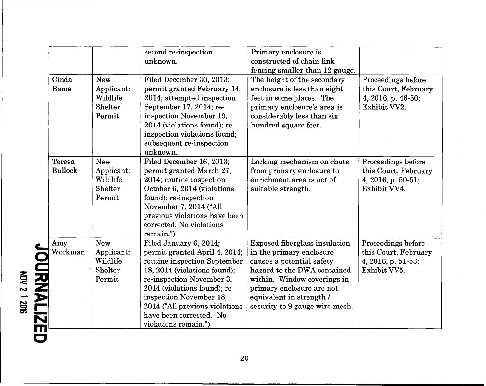|                          |                                                           | second re-inspection<br>unknown.                                                                                                                                                                                                                                                                     | Primary enclosure is<br>constructed of chain link<br>fencing smaller than 12 gauge.                                                                                                                                                                    |                                                                                  |
|--------------------------|-----------------------------------------------------------|------------------------------------------------------------------------------------------------------------------------------------------------------------------------------------------------------------------------------------------------------------------------------------------------------|--------------------------------------------------------------------------------------------------------------------------------------------------------------------------------------------------------------------------------------------------------|----------------------------------------------------------------------------------|
| Cinda<br>Bame            | New<br>Applicant:<br>Wildlife<br>Shelter<br>Permit        | Filed December 30, 2013;<br>permit granted February 14,<br>2014; attempted inspection<br>September 17, 2014; re-<br>inspection November 19,<br>2014 (violations found); re-<br>inspection violations found;<br>subsequent re-inspection<br>unknown.                                                  | The height of the secondary<br>enclosure is less than eight<br>feet in some places. The<br>primary enclosure's area is<br>considerably less than six<br>hundred square feet.                                                                           | Proceedings before<br>this Court, February<br>4, 2016, p. 46-50;<br>Exhibit VV2. |
| Teresa<br><b>Bullock</b> | <b>New</b><br>Applicant:<br>Wildlife<br>Shelter<br>Permit | Filed December 16, 2013;<br>permit granted March 27,<br>2014; routine inspection<br>October 6, 2014 (violations<br>found); re-inspection<br>November 7, 2014 ("All<br>previous violations have been<br>corrected. No violations<br>remain.")                                                         | Locking mechanism on chute<br>from primary enclosure to<br>enrichment area is not of<br>suitable strength.                                                                                                                                             | Proceedings before<br>this Court, February<br>4, 2016, p. 50-51;<br>Exhibit VV4. |
| Amy<br>Workman           | New<br>Applicant:<br>Wildlife<br>Shelter<br>Permit        | Filed January 6, 2014;<br>permit granted April 4, 2014;<br>routine inspection September<br>18, 2014 (violations found);<br>re-inspection November 3,<br>2014 (violations found); re-<br>inspection November 18,<br>2014 ("All previous violations<br>have been corrected. No<br>violations remain.") | <b>Exposed fiberglass insulation</b><br>in the primary enclosure<br>causes a potential safety<br>hazard to the DWA contained<br>within. Window coverings in<br>primary enclosure are not<br>equivalent in strength /<br>security to 9 gauge wire mesh. | Proceedings before<br>this Court, February<br>4, 2016, p. 51-53;<br>Exhibit VV5. |

**Q** 2<br>|<br>|2 '" C) S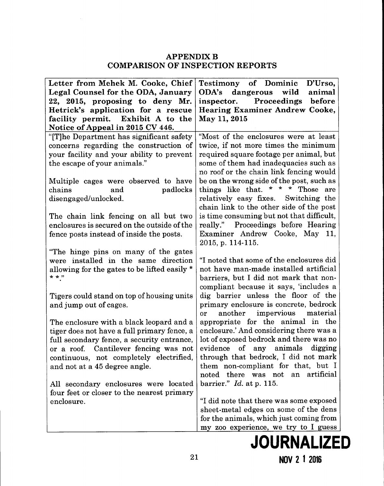### APPENDIX B COMPARISON OF INSPECTION REPORTS

| Letter from Mehek M. Cooke, Chief                                             | <b>Testimony of Dominic</b><br>D'Urso,                                          |
|-------------------------------------------------------------------------------|---------------------------------------------------------------------------------|
| Legal Counsel for the ODA, January                                            | ODA's<br>dangerous wild<br>animal                                               |
| 22, 2015, proposing to deny Mr.                                               | inspector. Proceedings before                                                   |
| Hetrick's application for a rescue                                            | <b>Hearing Examiner Andrew Cooke,</b>                                           |
| facility permit. Exhibit A to the                                             | May 11, 2015                                                                    |
| Notice of Appeal in 2015 CV 446.                                              |                                                                                 |
| "[T]he Department has significant safety                                      | "Most of the enclosures were at least                                           |
| concerns regarding the construction of                                        | twice, if not more times the minimum                                            |
| your facility and your ability to prevent                                     | required square footage per animal, but                                         |
| the escape of your animals."                                                  | some of them had inadequacies such as                                           |
|                                                                               | no roof or the chain link fencing would                                         |
| Multiple cages were observed to have                                          | be on the wrong side of the post, such as                                       |
| and<br>padlocks<br>chains                                                     | things like that. * * * Those are                                               |
| disengaged/unlocked.                                                          | relatively easy fixes. Switching the                                            |
|                                                                               | chain link to the other side of the post                                        |
| The chain link fencing on all but two                                         | is time consuming but not that difficult,                                       |
| enclosures is secured on the outside of the                                   | really." Proceedings before Hearing                                             |
| fence posts instead of inside the posts.                                      | Examiner Andrew Cooke, May 11,                                                  |
|                                                                               | 2015, p. 114-115.                                                               |
| "The hinge pins on many of the gates"<br>were installed in the same direction | "I noted that some of the enclosures did                                        |
| allowing for the gates to be lifted easily *                                  | not have man-made installed artificial                                          |
| $* * "$                                                                       | barriers, but I did not mark that non-                                          |
|                                                                               | compliant because it says, 'includes a                                          |
| Tigers could stand on top of housing units                                    | dig barrier unless the floor of the                                             |
| and jump out of cages.                                                        | primary enclosure is concrete, bedrock                                          |
|                                                                               | impervious<br>material<br>another<br>or                                         |
| The enclosure with a black leopard and a                                      | appropriate for the animal in the                                               |
| tiger does not have a full primary fence, a                                   | enclosure.' And considering there was a                                         |
| full secondary fence, a security entrance,                                    | lot of exposed bedrock and there was no                                         |
| or a roof. Cantilever fencing was not                                         | evidence of any animals digging                                                 |
| continuous, not completely electrified                                        | through that bedrock, I did not mark                                            |
| and not at a 45 degree angle.                                                 | them non-compliant for that, but I                                              |
|                                                                               | noted there was not an artificial                                               |
| All secondary enclosures were located                                         | barrier." $Id.$ at p. 115.                                                      |
| four feet or closer to the nearest primary                                    |                                                                                 |
| enclosure.                                                                    | "I did note that there was some exposed                                         |
|                                                                               | sheet-metal edges on some of the dens                                           |
|                                                                               | for the animals, which just coming from<br>my zoo experience, we try to I guess |
|                                                                               |                                                                                 |

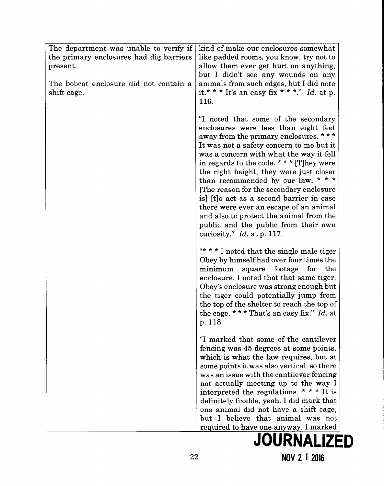| The department was unable to verify if<br>the primary enclosures had dig barriers<br>present.<br>The bobcat enclosure did not contain a<br>shift cage. | kind of make our enclosures somewhat<br>like padded rooms, you know, try not to<br>allow them ever get hurt on anything,<br>but I didn't see any wounds on any<br>animals from such edges, but I did note<br>it.* * * It's an easy fix * * *." Id. at p.<br>116.                                                                                                                                                                                                                                                                                                                              |
|--------------------------------------------------------------------------------------------------------------------------------------------------------|-----------------------------------------------------------------------------------------------------------------------------------------------------------------------------------------------------------------------------------------------------------------------------------------------------------------------------------------------------------------------------------------------------------------------------------------------------------------------------------------------------------------------------------------------------------------------------------------------|
|                                                                                                                                                        | "I noted that some of the secondary<br>enclosures were less than eight feet<br>away from the primary enclosures. ***<br>It was not a safety concern to me but it<br>was a concern with what the way it fell<br>in regards to the code. * * * [T] hey were<br>the right height, they were just closer<br>than recommended by our law. * * *<br>The reason for the secondary enclosure<br>is] [t]o act as a second barrier in case<br>there were ever an escape of an animal<br>and also to protect the animal from the<br>public and the public from their own<br>curiosity." $Id.$ at p. 117. |
|                                                                                                                                                        | "* * * I noted that the single male tiger<br>Obey by himself had over four times the<br>square footage for the<br>minimum<br>enclosure. I noted that that same tiger,<br>Obey's enclosure was strong enough but<br>the tiger could potentially jump from<br>the top of the shelter to reach the top of<br>the cage. * * * That's an easy fix." Id. at<br>p. 118.                                                                                                                                                                                                                              |
|                                                                                                                                                        | "I marked that some of the cantilever<br>fencing was 45 degrees at some points,<br>which is what the law requires, but at<br>some points it was also vertical, so there<br>was an issue with the cantilever fencing<br>not actually meeting up to the way I<br>interpreted the regulations. * * * It is<br>definitely fixable, yeah. I did mark that<br>one animal did not have a shift cage,<br>but I believe that animal was not<br>required to have one anyway. I marked                                                                                                                   |
|                                                                                                                                                        | <b>JOURNALIZED</b>                                                                                                                                                                                                                                                                                                                                                                                                                                                                                                                                                                            |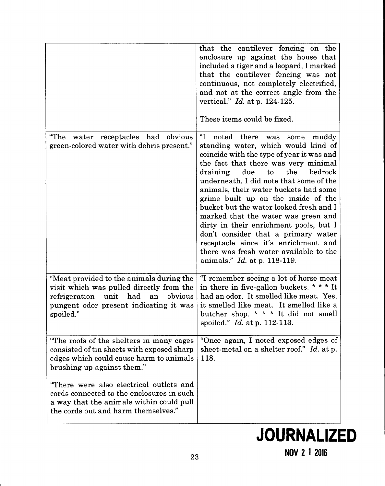|                                                                                                                                                                                                                                                                                                                                            | that the cantilever fencing on the<br>enclosure up against the house that<br>included a tiger and a leopard, I marked<br>that the cantilever fencing was not<br>continuous, not completely electrified,<br>and not at the correct angle from the<br>vertical." $Id.$ at p. 124-125.<br>These items could be fixed.                                                                                                                                                                                                                                                                                                                   |
|--------------------------------------------------------------------------------------------------------------------------------------------------------------------------------------------------------------------------------------------------------------------------------------------------------------------------------------------|--------------------------------------------------------------------------------------------------------------------------------------------------------------------------------------------------------------------------------------------------------------------------------------------------------------------------------------------------------------------------------------------------------------------------------------------------------------------------------------------------------------------------------------------------------------------------------------------------------------------------------------|
| receptacles had obvious<br>"The<br>water<br>green-colored water with debris present."                                                                                                                                                                                                                                                      | "I<br>noted there<br>muddy<br>some<br>was<br>standing water, which would kind of<br>coincide with the type of year it was and<br>the fact that there was very minimal<br>bedrock<br>draining due<br>to<br>the<br>underneath. I did note that some of the<br>animals, their water buckets had some<br>grime built up on the inside of the<br>bucket but the water looked fresh and I<br>marked that the water was green and<br>dirty in their enrichment pools, but I<br>don't consider that a primary water<br>receptacle since it's enrichment and<br>there was fresh water available to the<br>animals." <i>Id.</i> at p. 118-119. |
| "Meat provided to the animals during the<br>visit which was pulled directly from the<br>unit had<br>refrigeration<br>obvious<br>an<br>pungent odor present indicating it was<br>spoiled."                                                                                                                                                  | "I remember seeing a lot of horse meat<br>in there in five-gallon buckets. * * * It<br>had an odor. It smelled like meat. Yes,<br>it smelled like meat. It smelled like a<br>butcher shop. * * * It did not smell<br>spoiled." Id. at p. 112-113.                                                                                                                                                                                                                                                                                                                                                                                    |
| "The roofs of the shelters in many cages<br>consisted of tin sheets with exposed sharp<br>edges which could cause harm to animals<br>brushing up against them."<br>"There were also electrical outlets and<br>cords connected to the enclosures in such<br>a way that the animals within could pull<br>the cords out and harm themselves." | "Once again, I noted exposed edges of<br>sheet-metal on a shelter roof." Id. at p.<br>118.                                                                                                                                                                                                                                                                                                                                                                                                                                                                                                                                           |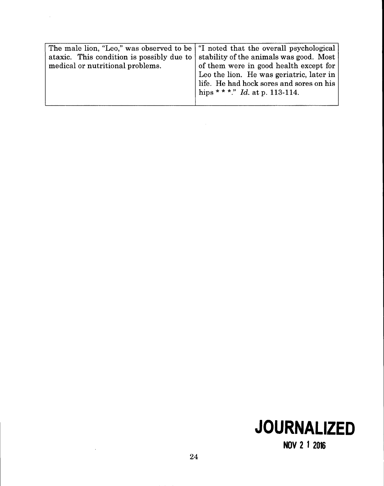| The male lion, "Leo," was observed to be   "I noted that the overall psychological |                                          |
|------------------------------------------------------------------------------------|------------------------------------------|
| ataxic. This condition is possibly due to                                          | stability of the animals was good. Most  |
| medical or nutritional problems.                                                   | of them were in good health except for   |
|                                                                                    | Leo the lion. He was geriatric, later in |
|                                                                                    | life. He had hock sores and sores on his |
|                                                                                    | hips * * *." Id. at p. 113-114.          |
|                                                                                    |                                          |



**NOV 2 1 2016** 

 $\bar{z}$